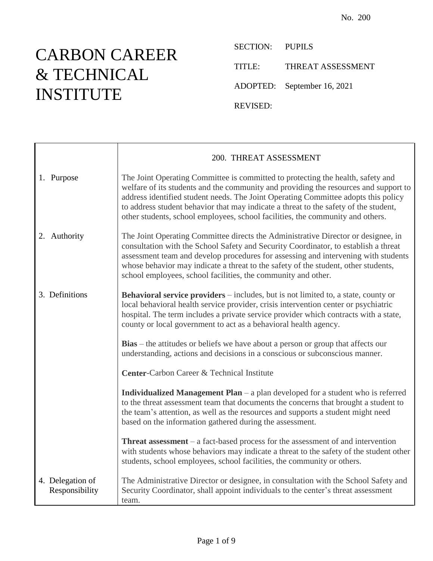## CARBON CAREER & TECHNICAL INSTITUTE

SECTION: PUPILS TITLE: THREAT ASSESSMENT ADOPTED: September 16, 2021 REVISED:

|                                    | 200. THREAT ASSESSMENT                                                                                                                                                                                                                                                                                                                                                                                                                  |
|------------------------------------|-----------------------------------------------------------------------------------------------------------------------------------------------------------------------------------------------------------------------------------------------------------------------------------------------------------------------------------------------------------------------------------------------------------------------------------------|
| 1. Purpose                         | The Joint Operating Committee is committed to protecting the health, safety and<br>welfare of its students and the community and providing the resources and support to<br>address identified student needs. The Joint Operating Committee adopts this policy<br>to address student behavior that may indicate a threat to the safety of the student,<br>other students, school employees, school facilities, the community and others. |
| 2. Authority                       | The Joint Operating Committee directs the Administrative Director or designee, in<br>consultation with the School Safety and Security Coordinator, to establish a threat<br>assessment team and develop procedures for assessing and intervening with students<br>whose behavior may indicate a threat to the safety of the student, other students,<br>school employees, school facilities, the community and other.                   |
| 3. Definitions                     | <b>Behavioral service providers</b> – includes, but is not limited to, a state, county or<br>local behavioral health service provider, crisis intervention center or psychiatric<br>hospital. The term includes a private service provider which contracts with a state,<br>county or local government to act as a behavioral health agency.                                                                                            |
|                                    | Bias - the attitudes or beliefs we have about a person or group that affects our<br>understanding, actions and decisions in a conscious or subconscious manner.                                                                                                                                                                                                                                                                         |
|                                    | Center-Carbon Career & Technical Institute                                                                                                                                                                                                                                                                                                                                                                                              |
|                                    | <b>Individualized Management Plan</b> $-$ a plan developed for a student who is referred<br>to the threat assessment team that documents the concerns that brought a student to<br>the team's attention, as well as the resources and supports a student might need<br>based on the information gathered during the assessment.                                                                                                         |
|                                    | <b>Threat assessment</b> $-$ a fact-based process for the assessment of and intervention<br>with students whose behaviors may indicate a threat to the safety of the student other<br>students, school employees, school facilities, the community or others.                                                                                                                                                                           |
| 4. Delegation of<br>Responsibility | The Administrative Director or designee, in consultation with the School Safety and<br>Security Coordinator, shall appoint individuals to the center's threat assessment<br>team.                                                                                                                                                                                                                                                       |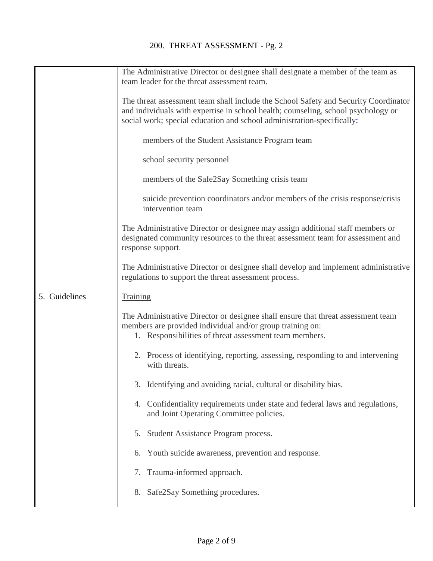|               | The Administrative Director or designee shall designate a member of the team as<br>team leader for the threat assessment team.                                                                                                                     |
|---------------|----------------------------------------------------------------------------------------------------------------------------------------------------------------------------------------------------------------------------------------------------|
|               | The threat assessment team shall include the School Safety and Security Coordinator<br>and individuals with expertise in school health; counseling, school psychology or<br>social work; special education and school administration-specifically: |
|               | members of the Student Assistance Program team                                                                                                                                                                                                     |
|               | school security personnel                                                                                                                                                                                                                          |
|               | members of the Safe2Say Something crisis team                                                                                                                                                                                                      |
|               | suicide prevention coordinators and/or members of the crisis response/crisis<br>intervention team                                                                                                                                                  |
|               | The Administrative Director or designee may assign additional staff members or<br>designated community resources to the threat assessment team for assessment and<br>response support.                                                             |
|               | The Administrative Director or designee shall develop and implement administrative<br>regulations to support the threat assessment process.                                                                                                        |
| 5. Guidelines | <b>Training</b>                                                                                                                                                                                                                                    |
|               | The Administrative Director or designee shall ensure that threat assessment team<br>members are provided individual and/or group training on:<br>1. Responsibilities of threat assessment team members.                                            |
|               | 2. Process of identifying, reporting, assessing, responding to and intervening<br>with threats.                                                                                                                                                    |
|               | 3. Identifying and avoiding racial, cultural or disability bias.                                                                                                                                                                                   |
|               | 4. Confidentiality requirements under state and federal laws and regulations,<br>and Joint Operating Committee policies.                                                                                                                           |
|               | 5. Student Assistance Program process.                                                                                                                                                                                                             |
|               | Youth suicide awareness, prevention and response.<br>6.                                                                                                                                                                                            |
|               | 7. Trauma-informed approach.                                                                                                                                                                                                                       |
|               | Safe2Say Something procedures.<br>8.                                                                                                                                                                                                               |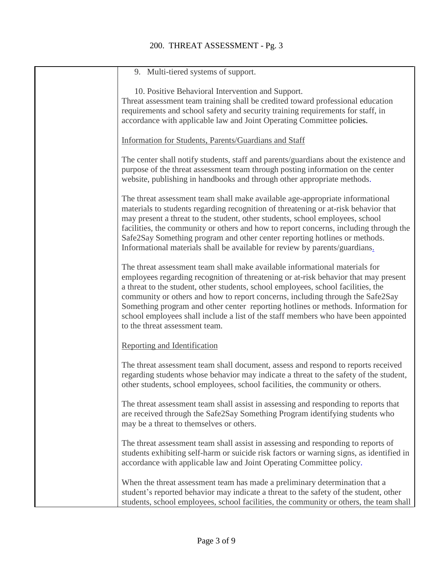## 200. THREAT ASSESSMENT - Pg. 3

| 9. Multi-tiered systems of support.                                                                                                                                                                                                                                                                                                       |
|-------------------------------------------------------------------------------------------------------------------------------------------------------------------------------------------------------------------------------------------------------------------------------------------------------------------------------------------|
| 10. Positive Behavioral Intervention and Support.                                                                                                                                                                                                                                                                                         |
| Threat assessment team training shall be credited toward professional education                                                                                                                                                                                                                                                           |
| requirements and school safety and security training requirements for staff, in                                                                                                                                                                                                                                                           |
| accordance with applicable law and Joint Operating Committee policies.                                                                                                                                                                                                                                                                    |
| Information for Students, Parents/Guardians and Staff                                                                                                                                                                                                                                                                                     |
| The center shall notify students, staff and parents/guardians about the existence and                                                                                                                                                                                                                                                     |
| purpose of the threat assessment team through posting information on the center<br>website, publishing in handbooks and through other appropriate methods.                                                                                                                                                                                |
| The threat assessment team shall make available age-appropriate informational<br>materials to students regarding recognition of threatening or at-risk behavior that                                                                                                                                                                      |
| may present a threat to the student, other students, school employees, school<br>facilities, the community or others and how to report concerns, including through the                                                                                                                                                                    |
| Safe2Say Something program and other center reporting hotlines or methods.<br>Informational materials shall be available for review by parents/guardians.                                                                                                                                                                                 |
|                                                                                                                                                                                                                                                                                                                                           |
| The threat assessment team shall make available informational materials for<br>employees regarding recognition of threatening or at-risk behavior that may present<br>a threat to the student, other students, school employees, school facilities, the<br>community or others and how to report concerns, including through the Safe2Say |
| Something program and other center reporting hotlines or methods. Information for<br>school employees shall include a list of the staff members who have been appointed<br>to the threat assessment team.                                                                                                                                 |
| Reporting and Identification                                                                                                                                                                                                                                                                                                              |
| The threat assessment team shall document, assess and respond to reports received<br>regarding students whose behavior may indicate a threat to the safety of the student,<br>other students, school employees, school facilities, the community or others.                                                                               |
| The threat assessment team shall assist in assessing and responding to reports that<br>are received through the Safe2Say Something Program identifying students who<br>may be a threat to themselves or others.                                                                                                                           |
| The threat assessment team shall assist in assessing and responding to reports of<br>students exhibiting self-harm or suicide risk factors or warning signs, as identified in<br>accordance with applicable law and Joint Operating Committee policy.                                                                                     |
| When the threat assessment team has made a preliminary determination that a<br>student's reported behavior may indicate a threat to the safety of the student, other<br>students, school employees, school facilities, the community or others, the team shall                                                                            |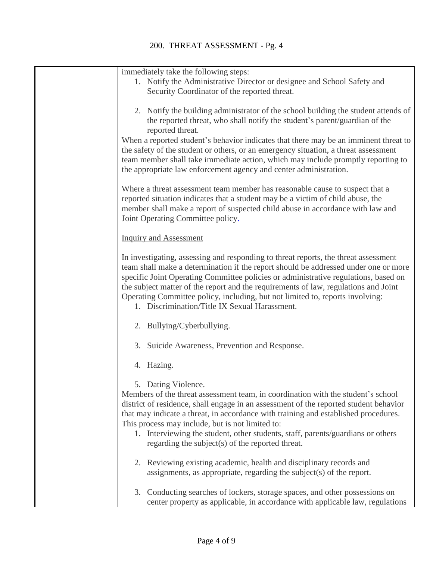| immediately take the following steps:                                                                                                                                                                                                                                                                                                                                                                                                                                                                                        |
|------------------------------------------------------------------------------------------------------------------------------------------------------------------------------------------------------------------------------------------------------------------------------------------------------------------------------------------------------------------------------------------------------------------------------------------------------------------------------------------------------------------------------|
| 1. Notify the Administrative Director or designee and School Safety and                                                                                                                                                                                                                                                                                                                                                                                                                                                      |
| Security Coordinator of the reported threat.                                                                                                                                                                                                                                                                                                                                                                                                                                                                                 |
| 2. Notify the building administrator of the school building the student attends of<br>the reported threat, who shall notify the student's parent/guardian of the<br>reported threat.<br>When a reported student's behavior indicates that there may be an imminent threat to<br>the safety of the student or others, or an emergency situation, a threat assessment<br>team member shall take immediate action, which may include promptly reporting to<br>the appropriate law enforcement agency and center administration. |
| Where a threat assessment team member has reasonable cause to suspect that a<br>reported situation indicates that a student may be a victim of child abuse, the<br>member shall make a report of suspected child abuse in accordance with law and<br>Joint Operating Committee policy.                                                                                                                                                                                                                                       |
| <b>Inquiry and Assessment</b>                                                                                                                                                                                                                                                                                                                                                                                                                                                                                                |
| In investigating, assessing and responding to threat reports, the threat assessment<br>team shall make a determination if the report should be addressed under one or more<br>specific Joint Operating Committee policies or administrative regulations, based on<br>the subject matter of the report and the requirements of law, regulations and Joint<br>Operating Committee policy, including, but not limited to, reports involving:<br>1. Discrimination/Title IX Sexual Harassment.                                   |
| 2. Bullying/Cyberbullying.                                                                                                                                                                                                                                                                                                                                                                                                                                                                                                   |
| 3. Suicide Awareness, Prevention and Response.                                                                                                                                                                                                                                                                                                                                                                                                                                                                               |
| 4. Hazing.                                                                                                                                                                                                                                                                                                                                                                                                                                                                                                                   |
| 5. Dating Violence.<br>Members of the threat assessment team, in coordination with the student's school<br>district of residence, shall engage in an assessment of the reported student behavior<br>that may indicate a threat, in accordance with training and established procedures.<br>This process may include, but is not limited to:<br>1. Interviewing the student, other students, staff, parents/guardians or others<br>regarding the subject(s) of the reported threat.                                           |
| 2. Reviewing existing academic, health and disciplinary records and<br>assignments, as appropriate, regarding the subject(s) of the report.                                                                                                                                                                                                                                                                                                                                                                                  |
| Conducting searches of lockers, storage spaces, and other possessions on<br>3.<br>center property as applicable, in accordance with applicable law, regulations                                                                                                                                                                                                                                                                                                                                                              |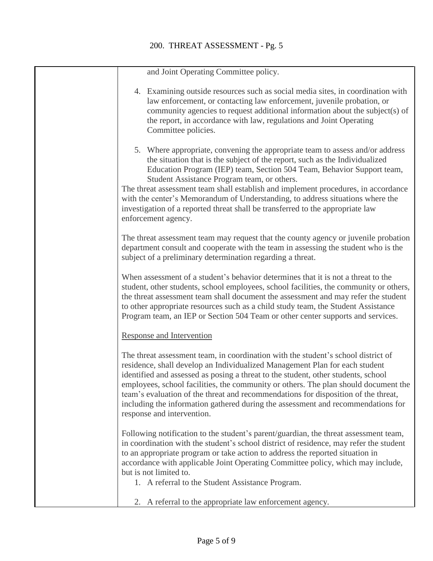and Joint Operating Committee policy.

| 4. Examining outside resources such as social media sites, in coordination with<br>law enforcement, or contacting law enforcement, juvenile probation, or<br>community agencies to request additional information about the subject(s) of<br>the report, in accordance with law, regulations and Joint Operating<br>Committee policies.                                                                                                                                                                                                                                |
|------------------------------------------------------------------------------------------------------------------------------------------------------------------------------------------------------------------------------------------------------------------------------------------------------------------------------------------------------------------------------------------------------------------------------------------------------------------------------------------------------------------------------------------------------------------------|
| 5. Where appropriate, convening the appropriate team to assess and/or address<br>the situation that is the subject of the report, such as the Individualized<br>Education Program (IEP) team, Section 504 Team, Behavior Support team,<br>Student Assistance Program team, or others.<br>The threat assessment team shall establish and implement procedures, in accordance<br>with the center's Memorandum of Understanding, to address situations where the<br>investigation of a reported threat shall be transferred to the appropriate law<br>enforcement agency. |
| The threat assessment team may request that the county agency or juvenile probation<br>department consult and cooperate with the team in assessing the student who is the<br>subject of a preliminary determination regarding a threat.                                                                                                                                                                                                                                                                                                                                |
| When assessment of a student's behavior determines that it is not a threat to the<br>student, other students, school employees, school facilities, the community or others,<br>the threat assessment team shall document the assessment and may refer the student<br>to other appropriate resources such as a child study team, the Student Assistance<br>Program team, an IEP or Section 504 Team or other center supports and services.                                                                                                                              |
| <b>Response and Intervention</b>                                                                                                                                                                                                                                                                                                                                                                                                                                                                                                                                       |
| The threat assessment team, in coordination with the student's school district of<br>residence, shall develop an Individualized Management Plan for each student<br>identified and assessed as posing a threat to the student, other students, school<br>employees, school facilities, the community or others. The plan should document the<br>team's evaluation of the threat and recommendations for disposition of the threat,<br>including the information gathered during the assessment and recommendations for<br>response and intervention.                   |
| Following notification to the student's parent/guardian, the threat assessment team,<br>in coordination with the student's school district of residence, may refer the student<br>to an appropriate program or take action to address the reported situation in<br>accordance with applicable Joint Operating Committee policy, which may include,<br>but is not limited to.                                                                                                                                                                                           |

1. A referral to the Student Assistance Program.

2. A referral to the appropriate law enforcement agency.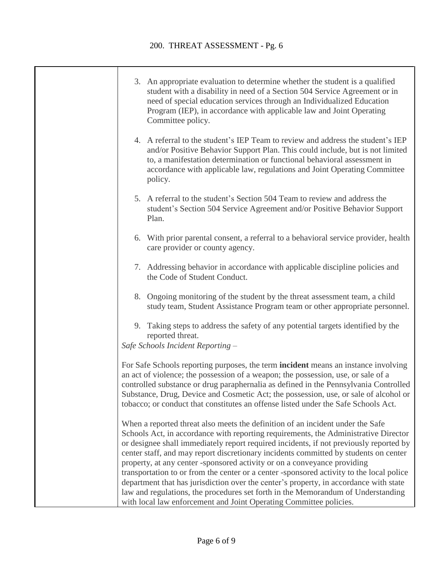| 3. An appropriate evaluation to determine whether the student is a qualified<br>student with a disability in need of a Section 504 Service Agreement or in<br>need of special education services through an Individualized Education<br>Program (IEP), in accordance with applicable law and Joint Operating<br>Committee policy.                                                                                                                                                                                                                                                                                                                                                                                                                                                  |
|------------------------------------------------------------------------------------------------------------------------------------------------------------------------------------------------------------------------------------------------------------------------------------------------------------------------------------------------------------------------------------------------------------------------------------------------------------------------------------------------------------------------------------------------------------------------------------------------------------------------------------------------------------------------------------------------------------------------------------------------------------------------------------|
| 4. A referral to the student's IEP Team to review and address the student's IEP<br>and/or Positive Behavior Support Plan. This could include, but is not limited<br>to, a manifestation determination or functional behavioral assessment in<br>accordance with applicable law, regulations and Joint Operating Committee<br>policy.                                                                                                                                                                                                                                                                                                                                                                                                                                               |
| 5. A referral to the student's Section 504 Team to review and address the<br>student's Section 504 Service Agreement and/or Positive Behavior Support<br>Plan.                                                                                                                                                                                                                                                                                                                                                                                                                                                                                                                                                                                                                     |
| 6. With prior parental consent, a referral to a behavioral service provider, health<br>care provider or county agency.                                                                                                                                                                                                                                                                                                                                                                                                                                                                                                                                                                                                                                                             |
| 7. Addressing behavior in accordance with applicable discipline policies and<br>the Code of Student Conduct.                                                                                                                                                                                                                                                                                                                                                                                                                                                                                                                                                                                                                                                                       |
| 8. Ongoing monitoring of the student by the threat assessment team, a child<br>study team, Student Assistance Program team or other appropriate personnel.                                                                                                                                                                                                                                                                                                                                                                                                                                                                                                                                                                                                                         |
| 9. Taking steps to address the safety of any potential targets identified by the<br>reported threat.<br>Safe Schools Incident Reporting -                                                                                                                                                                                                                                                                                                                                                                                                                                                                                                                                                                                                                                          |
| For Safe Schools reporting purposes, the term <b>incident</b> means an instance involving<br>an act of violence; the possession of a weapon; the possession, use, or sale of a<br>controlled substance or drug paraphernalia as defined in the Pennsylvania Controlled<br>Substance, Drug, Device and Cosmetic Act; the possession, use, or sale of alcohol or<br>tobacco; or conduct that constitutes an offense listed under the Safe Schools Act.                                                                                                                                                                                                                                                                                                                               |
| When a reported threat also meets the definition of an incident under the Safe<br>Schools Act, in accordance with reporting requirements, the Administrative Director<br>or designee shall immediately report required incidents, if not previously reported by<br>center staff, and may report discretionary incidents committed by students on center<br>property, at any center -sponsored activity or on a conveyance providing<br>transportation to or from the center or a center -sponsored activity to the local police<br>department that has jurisdiction over the center's property, in accordance with state<br>law and regulations, the procedures set forth in the Memorandum of Understanding<br>with local law enforcement and Joint Operating Committee policies. |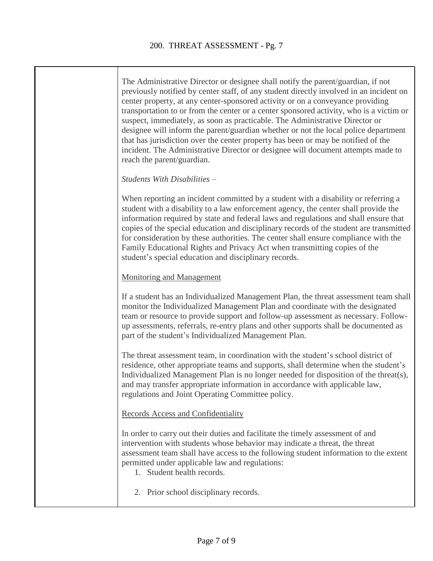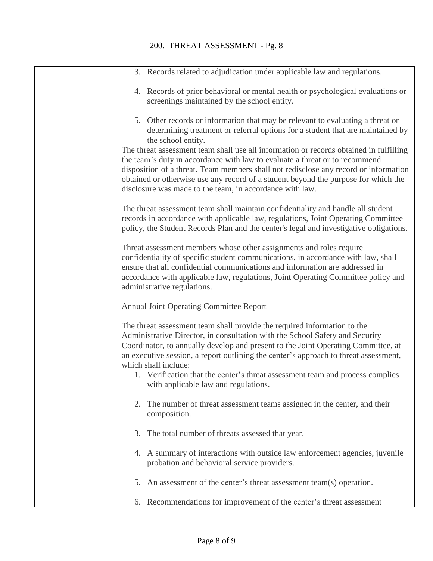| 3. Records related to adjudication under applicable law and regulations.                                                                                                                                                                                                                                                                                                                                                                                                               |
|----------------------------------------------------------------------------------------------------------------------------------------------------------------------------------------------------------------------------------------------------------------------------------------------------------------------------------------------------------------------------------------------------------------------------------------------------------------------------------------|
| 4. Records of prior behavioral or mental health or psychological evaluations or<br>screenings maintained by the school entity.                                                                                                                                                                                                                                                                                                                                                         |
| 5. Other records or information that may be relevant to evaluating a threat or<br>determining treatment or referral options for a student that are maintained by<br>the school entity.                                                                                                                                                                                                                                                                                                 |
| The threat assessment team shall use all information or records obtained in fulfilling<br>the team's duty in accordance with law to evaluate a threat or to recommend<br>disposition of a threat. Team members shall not redisclose any record or information<br>obtained or otherwise use any record of a student beyond the purpose for which the<br>disclosure was made to the team, in accordance with law.                                                                        |
| The threat assessment team shall maintain confidentiality and handle all student<br>records in accordance with applicable law, regulations, Joint Operating Committee<br>policy, the Student Records Plan and the center's legal and investigative obligations.                                                                                                                                                                                                                        |
| Threat assessment members whose other assignments and roles require<br>confidentiality of specific student communications, in accordance with law, shall<br>ensure that all confidential communications and information are addressed in<br>accordance with applicable law, regulations, Joint Operating Committee policy and<br>administrative regulations.                                                                                                                           |
| <b>Annual Joint Operating Committee Report</b>                                                                                                                                                                                                                                                                                                                                                                                                                                         |
| The threat assessment team shall provide the required information to the<br>Administrative Director, in consultation with the School Safety and Security<br>Coordinator, to annually develop and present to the Joint Operating Committee, at<br>an executive session, a report outlining the center's approach to threat assessment,<br>which shall include:<br>1. Verification that the center's threat assessment team and process complies<br>with applicable law and regulations. |
| The number of threat assessment teams assigned in the center, and their<br>2.<br>composition.                                                                                                                                                                                                                                                                                                                                                                                          |
| 3. The total number of threats assessed that year.                                                                                                                                                                                                                                                                                                                                                                                                                                     |
| 4. A summary of interactions with outside law enforcement agencies, juvenile<br>probation and behavioral service providers.                                                                                                                                                                                                                                                                                                                                                            |
| An assessment of the center's threat assessment team(s) operation.<br>5.                                                                                                                                                                                                                                                                                                                                                                                                               |
| 6. Recommendations for improvement of the center's threat assessment                                                                                                                                                                                                                                                                                                                                                                                                                   |